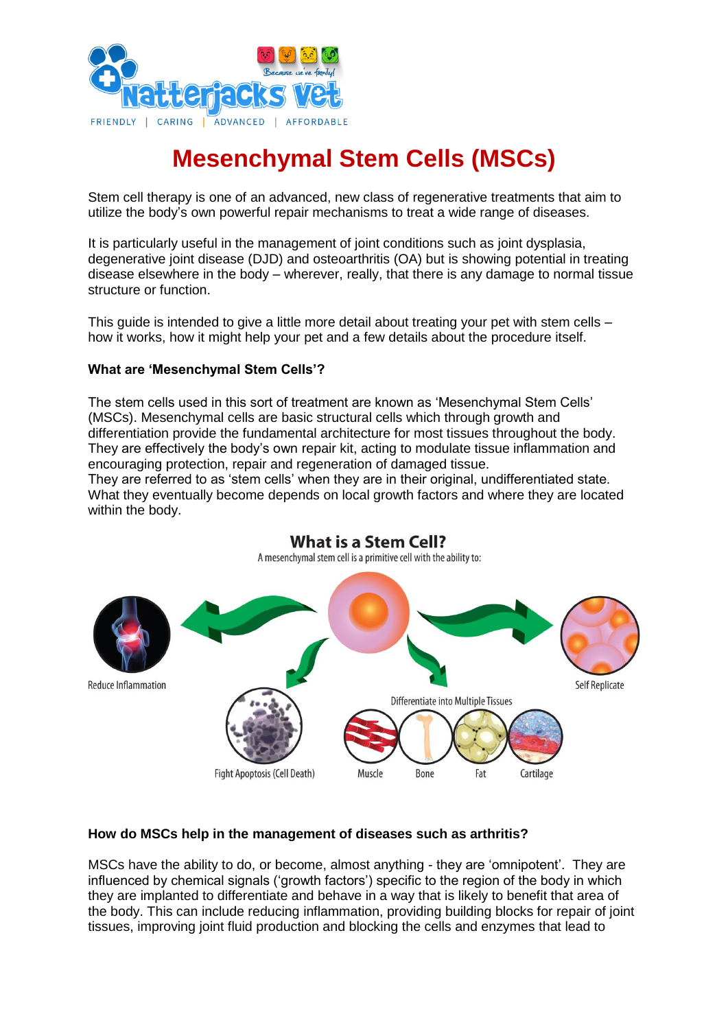

# **Mesenchymal Stem Cells (MSCs)**

Stem cell therapy is one of an advanced, new class of regenerative treatments that aim to utilize the body's own powerful repair mechanisms to treat a wide range of diseases.

It is particularly useful in the management of joint conditions such as joint dysplasia, degenerative joint disease (DJD) and osteoarthritis (OA) but is showing potential in treating disease elsewhere in the body – wherever, really, that there is any damage to normal tissue structure or function.

This quide is intended to give a little more detail about treating your pet with stem cells – how it works, how it might help your pet and a few details about the procedure itself.

#### **What are 'Mesenchymal Stem Cells'?**

The stem cells used in this sort of treatment are known as 'Mesenchymal Stem Cells' (MSCs). Mesenchymal cells are basic structural cells which through growth and differentiation provide the fundamental architecture for most tissues throughout the body. They are effectively the body's own repair kit, acting to modulate tissue inflammation and encouraging protection, repair and regeneration of damaged tissue.

They are referred to as 'stem cells' when they are in their original, undifferentiated state. What they eventually become depends on local growth factors and where they are located within the body.



# **What is a Stem Cell?**

#### **How do MSCs help in the management of diseases such as arthritis?**

MSCs have the ability to do, or become, almost anything - they are 'omnipotent'. They are influenced by chemical signals ('growth factors') specific to the region of the body in which they are implanted to differentiate and behave in a way that is likely to benefit that area of the body. This can include reducing inflammation, providing building blocks for repair of joint tissues, improving joint fluid production and blocking the cells and enzymes that lead to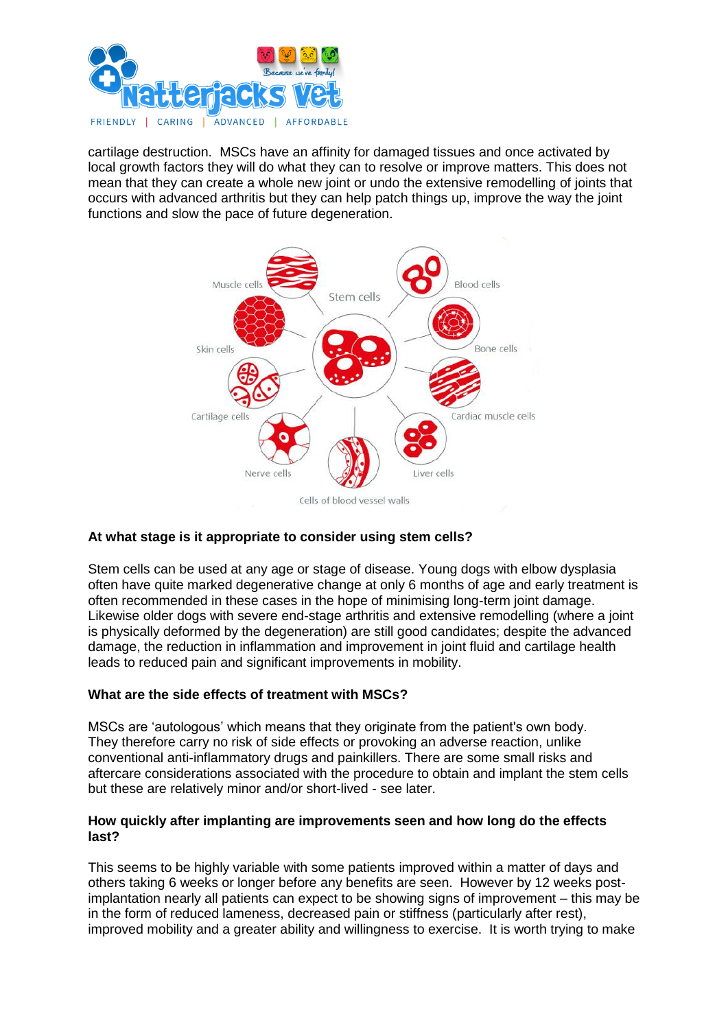

cartilage destruction. MSCs have an affinity for damaged tissues and once activated by local growth factors they will do what they can to resolve or improve matters. This does not mean that they can create a whole new joint or undo the extensive remodelling of joints that occurs with advanced arthritis but they can help patch things up, improve the way the joint functions and slow the pace of future degeneration.



# **At what stage is it appropriate to consider using stem cells?**

Stem cells can be used at any age or stage of disease. Young dogs with elbow dysplasia often have quite marked degenerative change at only 6 months of age and early treatment is often recommended in these cases in the hope of minimising long-term joint damage. Likewise older dogs with severe end-stage arthritis and extensive remodelling (where a joint is physically deformed by the degeneration) are still good candidates; despite the advanced damage, the reduction in inflammation and improvement in joint fluid and cartilage health leads to reduced pain and significant improvements in mobility.

# **What are the side effects of treatment with MSCs?**

MSCs are 'autologous' which means that they originate from the patient's own body. They therefore carry no risk of side effects or provoking an adverse reaction, unlike conventional anti-inflammatory drugs and painkillers. There are some small risks and aftercare considerations associated with the procedure to obtain and implant the stem cells but these are relatively minor and/or short-lived - see later.

#### **How quickly after implanting are improvements seen and how long do the effects last?**

This seems to be highly variable with some patients improved within a matter of days and others taking 6 weeks or longer before any benefits are seen. However by 12 weeks postimplantation nearly all patients can expect to be showing signs of improvement – this may be in the form of reduced lameness, decreased pain or stiffness (particularly after rest), improved mobility and a greater ability and willingness to exercise. It is worth trying to make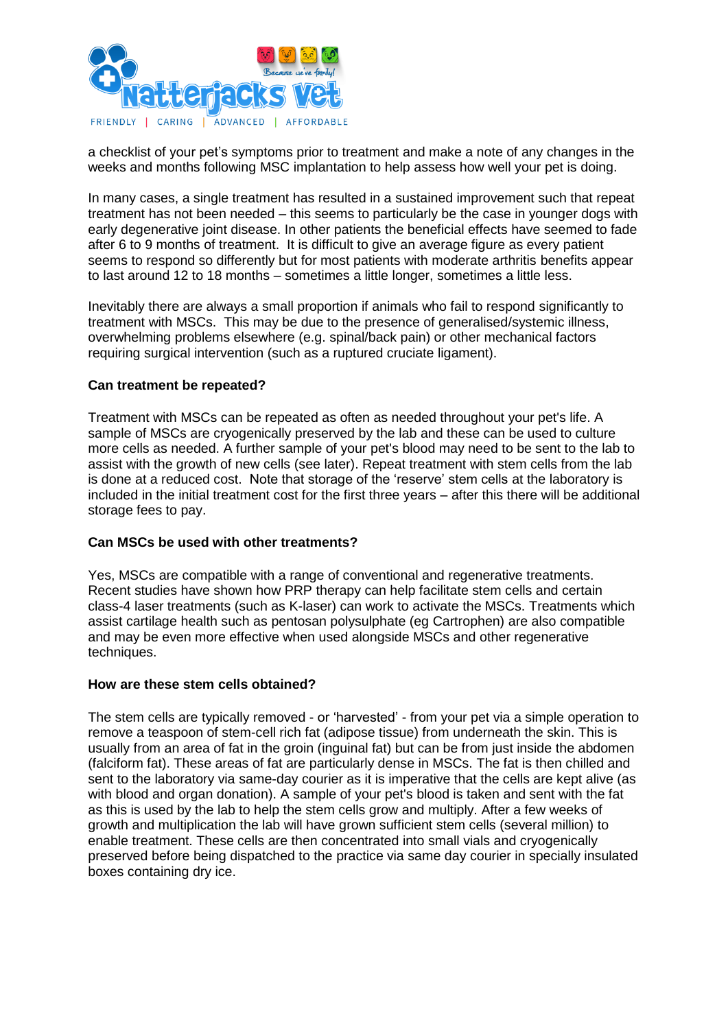

a checklist of your pet's symptoms prior to treatment and make a note of any changes in the weeks and months following MSC implantation to help assess how well your pet is doing.

In many cases, a single treatment has resulted in a sustained improvement such that repeat treatment has not been needed – this seems to particularly be the case in younger dogs with early degenerative joint disease. In other patients the beneficial effects have seemed to fade after 6 to 9 months of treatment. It is difficult to give an average figure as every patient seems to respond so differently but for most patients with moderate arthritis benefits appear to last around 12 to 18 months – sometimes a little longer, sometimes a little less.

Inevitably there are always a small proportion if animals who fail to respond significantly to treatment with MSCs. This may be due to the presence of generalised/systemic illness, overwhelming problems elsewhere (e.g. spinal/back pain) or other mechanical factors requiring surgical intervention (such as a ruptured cruciate ligament).

# **Can treatment be repeated?**

Treatment with MSCs can be repeated as often as needed throughout your pet's life. A sample of MSCs are cryogenically preserved by the lab and these can be used to culture more cells as needed. A further sample of your pet's blood may need to be sent to the lab to assist with the growth of new cells (see later). Repeat treatment with stem cells from the lab is done at a reduced cost. Note that storage of the 'reserve' stem cells at the laboratory is included in the initial treatment cost for the first three years – after this there will be additional storage fees to pay.

#### **Can MSCs be used with other treatments?**

Yes, MSCs are compatible with a range of conventional and regenerative treatments. Recent studies have shown how PRP therapy can help facilitate stem cells and certain class-4 laser treatments (such as K-laser) can work to activate the MSCs. Treatments which assist cartilage health such as pentosan polysulphate (eg Cartrophen) are also compatible and may be even more effective when used alongside MSCs and other regenerative techniques.

#### **How are these stem cells obtained?**

The stem cells are typically removed - or 'harvested' - from your pet via a simple operation to remove a teaspoon of stem-cell rich fat (adipose tissue) from underneath the skin. This is usually from an area of fat in the groin (inguinal fat) but can be from just inside the abdomen (falciform fat). These areas of fat are particularly dense in MSCs. The fat is then chilled and sent to the laboratory via same-day courier as it is imperative that the cells are kept alive (as with blood and organ donation). A sample of your pet's blood is taken and sent with the fat as this is used by the lab to help the stem cells grow and multiply. After a few weeks of growth and multiplication the lab will have grown sufficient stem cells (several million) to enable treatment. These cells are then concentrated into small vials and cryogenically preserved before being dispatched to the practice via same day courier in specially insulated boxes containing dry ice.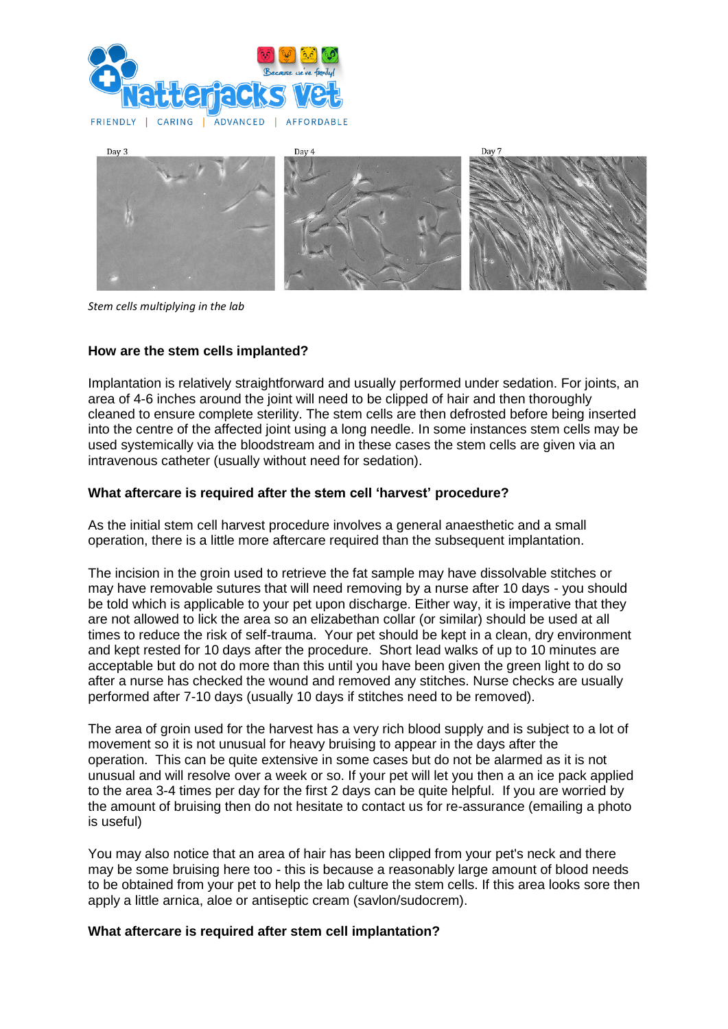



*Stem cells multiplying in the lab*

# **How are the stem cells implanted?**

Implantation is relatively straightforward and usually performed under sedation. For joints, an area of 4-6 inches around the joint will need to be clipped of hair and then thoroughly cleaned to ensure complete sterility. The stem cells are then defrosted before being inserted into the centre of the affected joint using a long needle. In some instances stem cells may be used systemically via the bloodstream and in these cases the stem cells are given via an intravenous catheter (usually without need for sedation).

#### **What aftercare is required after the stem cell 'harvest' procedure?**

As the initial stem cell harvest procedure involves a general anaesthetic and a small operation, there is a little more aftercare required than the subsequent implantation.

The incision in the groin used to retrieve the fat sample may have dissolvable stitches or may have removable sutures that will need removing by a nurse after 10 days - you should be told which is applicable to your pet upon discharge. Either way, it is imperative that they are not allowed to lick the area so an elizabethan collar (or similar) should be used at all times to reduce the risk of self-trauma. Your pet should be kept in a clean, dry environment and kept rested for 10 days after the procedure. Short lead walks of up to 10 minutes are acceptable but do not do more than this until you have been given the green light to do so after a nurse has checked the wound and removed any stitches. Nurse checks are usually performed after 7-10 days (usually 10 days if stitches need to be removed).

The area of groin used for the harvest has a very rich blood supply and is subject to a lot of movement so it is not unusual for heavy bruising to appear in the days after the operation. This can be quite extensive in some cases but do not be alarmed as it is not unusual and will resolve over a week or so. If your pet will let you then a an ice pack applied to the area 3-4 times per day for the first 2 days can be quite helpful. If you are worried by the amount of bruising then do not hesitate to contact us for re-assurance (emailing a photo is useful)

You may also notice that an area of hair has been clipped from your pet's neck and there may be some bruising here too - this is because a reasonably large amount of blood needs to be obtained from your pet to help the lab culture the stem cells. If this area looks sore then apply a little arnica, aloe or antiseptic cream (savlon/sudocrem).

#### **What aftercare is required after stem cell implantation?**